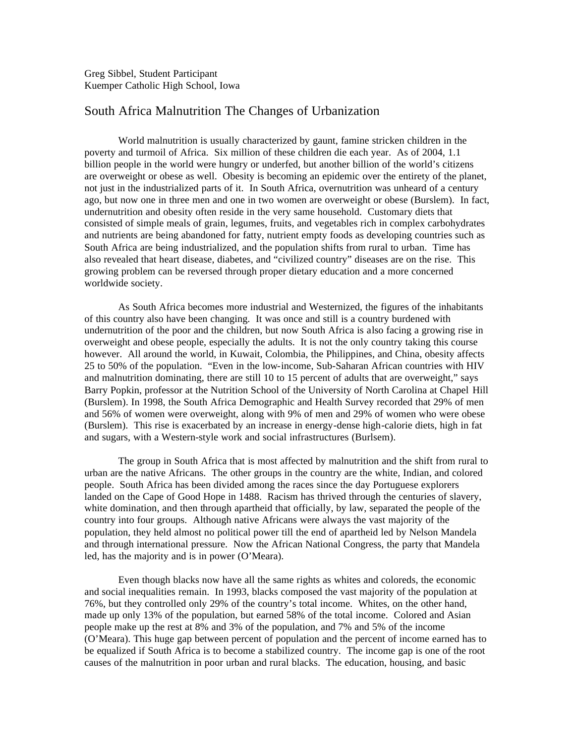Greg Sibbel, Student Participant Kuemper Catholic High School, Iowa

## South Africa Malnutrition The Changes of Urbanization

World malnutrition is usually characterized by gaunt, famine stricken children in the poverty and turmoil of Africa. Six million of these children die each year. As of 2004, 1.1 billion people in the world were hungry or underfed, but another billion of the world's citizens are overweight or obese as well. Obesity is becoming an epidemic over the entirety of the planet, not just in the industrialized parts of it. In South Africa, overnutrition was unheard of a century ago, but now one in three men and one in two women are overweight or obese (Burslem). In fact, undernutrition and obesity often reside in the very same household. Customary diets that consisted of simple meals of grain, legumes, fruits, and vegetables rich in complex carbohydrates and nutrients are being abandoned for fatty, nutrient empty foods as developing countries such as South Africa are being industrialized, and the population shifts from rural to urban. Time has also revealed that heart disease, diabetes, and "civilized country" diseases are on the rise. This growing problem can be reversed through proper dietary education and a more concerned worldwide society.

As South Africa becomes more industrial and Westernized, the figures of the inhabitants of this country also have been changing. It was once and still is a country burdened with undernutrition of the poor and the children, but now South Africa is also facing a growing rise in overweight and obese people, especially the adults. It is not the only country taking this course however. All around the world, in Kuwait, Colombia, the Philippines, and China, obesity affects 25 to 50% of the population. "Even in the low-income, Sub-Saharan African countries with HIV and malnutrition dominating, there are still 10 to 15 percent of adults that are overweight," says Barry Popkin, professor at the Nutrition School of the University of North Carolina at Chapel Hill (Burslem). In 1998, the South Africa Demographic and Health Survey recorded that 29% of men and 56% of women were overweight, along with 9% of men and 29% of women who were obese (Burslem). This rise is exacerbated by an increase in energy-dense high-calorie diets, high in fat and sugars, with a Western-style work and social infrastructures (Burlsem).

The group in South Africa that is most affected by malnutrition and the shift from rural to urban are the native Africans. The other groups in the country are the white, Indian, and colored people. South Africa has been divided among the races since the day Portuguese explorers landed on the Cape of Good Hope in 1488. Racism has thrived through the centuries of slavery, white domination, and then through apartheid that officially, by law, separated the people of the country into four groups. Although native Africans were always the vast majority of the population, they held almost no political power till the end of apartheid led by Nelson Mandela and through international pressure. Now the African National Congress, the party that Mandela led, has the majority and is in power (O'Meara).

Even though blacks now have all the same rights as whites and coloreds, the economic and social inequalities remain. In 1993, blacks composed the vast majority of the population at 76%, but they controlled only 29% of the country's total income. Whites, on the other hand, made up only 13% of the population, but earned 58% of the total income. Colored and Asian people make up the rest at 8% and 3% of the population, and 7% and 5% of the income (O'Meara). This huge gap between percent of population and the percent of income earned has to be equalized if South Africa is to become a stabilized country. The income gap is one of the root causes of the malnutrition in poor urban and rural blacks. The education, housing, and basic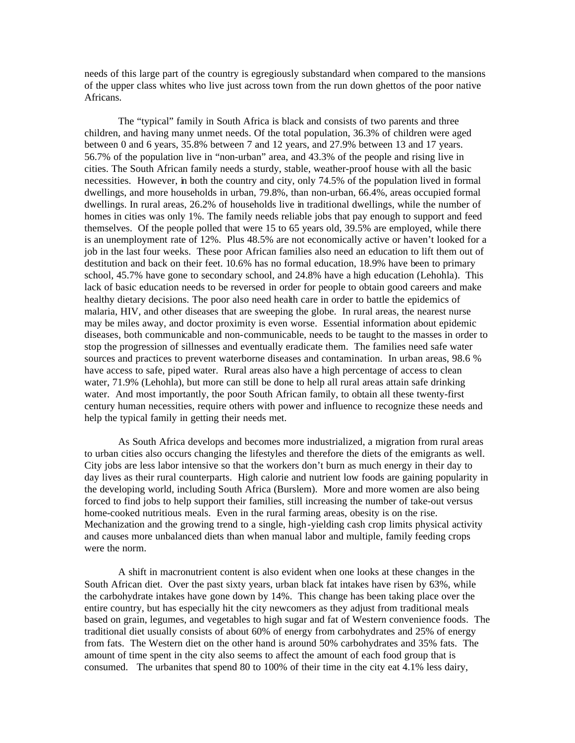needs of this large part of the country is egregiously substandard when compared to the mansions of the upper class whites who live just across town from the run down ghettos of the poor native Africans.

The "typical" family in South Africa is black and consists of two parents and three children, and having many unmet needs. Of the total population, 36.3% of children were aged between 0 and 6 years, 35.8% between 7 and 12 years, and 27.9% between 13 and 17 years. 56.7% of the population live in "non-urban" area, and 43.3% of the people and rising live in cities. The South African family needs a sturdy, stable, weather-proof house with all the basic necessities. However, in both the country and city, only 74.5% of the population lived in formal dwellings, and more households in urban, 79.8%, than non-urban, 66.4%, areas occupied formal dwellings. In rural areas, 26.2% of households live in traditional dwellings, while the number of homes in cities was only 1%. The family needs reliable jobs that pay enough to support and feed themselves. Of the people polled that were 15 to 65 years old, 39.5% are employed, while there is an unemployment rate of 12%. Plus 48.5% are not economically active or haven't looked for a job in the last four weeks. These poor African families also need an education to lift them out of destitution and back on their feet. 10.6% has no formal education, 18.9% have been to primary school, 45.7% have gone to secondary school, and 24.8% have a high education (Lehohla). This lack of basic education needs to be reversed in order for people to obtain good careers and make healthy dietary decisions. The poor also need health care in order to battle the epidemics of malaria, HIV, and other diseases that are sweeping the globe. In rural areas, the nearest nurse may be miles away, and doctor proximity is even worse. Essential information about epidemic diseases, both communicable and non-communicable, needs to be taught to the masses in order to stop the progression of sillnesses and eventually eradicate them. The families need safe water sources and practices to prevent waterborne diseases and contamination. In urban areas, 98.6 % have access to safe, piped water. Rural areas also have a high percentage of access to clean water, 71.9% (Lehohla), but more can still be done to help all rural areas attain safe drinking water. And most importantly, the poor South African family, to obtain all these twenty-first century human necessities, require others with power and influence to recognize these needs and help the typical family in getting their needs met.

As South Africa develops and becomes more industrialized, a migration from rural areas to urban cities also occurs changing the lifestyles and therefore the diets of the emigrants as well. City jobs are less labor intensive so that the workers don't burn as much energy in their day to day lives as their rural counterparts. High calorie and nutrient low foods are gaining popularity in the developing world, including South Africa (Burslem). More and more women are also being forced to find jobs to help support their families, still increasing the number of take-out versus home-cooked nutritious meals. Even in the rural farming areas, obesity is on the rise. Mechanization and the growing trend to a single, high-yielding cash crop limits physical activity and causes more unbalanced diets than when manual labor and multiple, family feeding crops were the norm.

A shift in macronutrient content is also evident when one looks at these changes in the South African diet. Over the past sixty years, urban black fat intakes have risen by 63%, while the carbohydrate intakes have gone down by 14%. This change has been taking place over the entire country, but has especially hit the city newcomers as they adjust from traditional meals based on grain, legumes, and vegetables to high sugar and fat of Western convenience foods. The traditional diet usually consists of about 60% of energy from carbohydrates and 25% of energy from fats. The Western diet on the other hand is around 50% carbohydrates and 35% fats. The amount of time spent in the city also seems to affect the amount of each food group that is consumed. The urbanites that spend 80 to 100% of their time in the city eat 4.1% less dairy,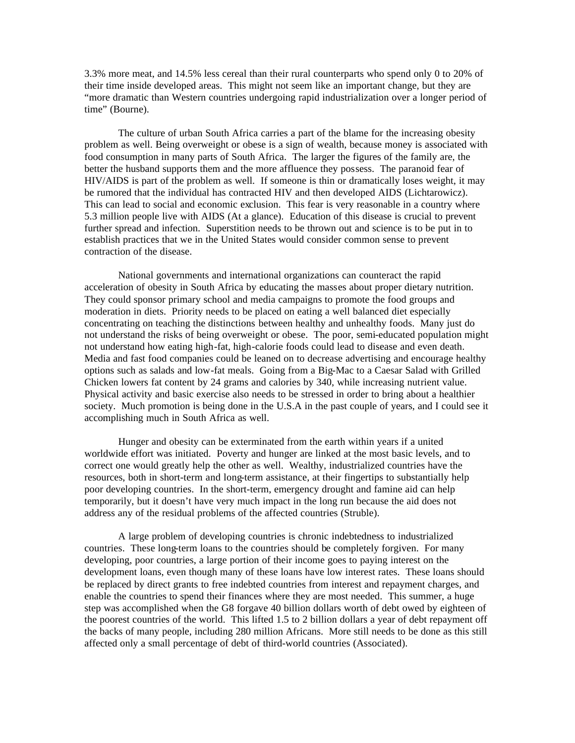3.3% more meat, and 14.5% less cereal than their rural counterparts who spend only 0 to 20% of their time inside developed areas. This might not seem like an important change, but they are "more dramatic than Western countries undergoing rapid industrialization over a longer period of time" (Bourne).

The culture of urban South Africa carries a part of the blame for the increasing obesity problem as well. Being overweight or obese is a sign of wealth, because money is associated with food consumption in many parts of South Africa. The larger the figures of the family are, the better the husband supports them and the more affluence they possess. The paranoid fear of HIV/AIDS is part of the problem as well. If someone is thin or dramatically loses weight, it may be rumored that the individual has contracted HIV and then developed AIDS (Lichtarowicz). This can lead to social and economic exclusion. This fear is very reasonable in a country where 5.3 million people live with AIDS (At a glance). Education of this disease is crucial to prevent further spread and infection. Superstition needs to be thrown out and science is to be put in to establish practices that we in the United States would consider common sense to prevent contraction of the disease.

National governments and international organizations can counteract the rapid acceleration of obesity in South Africa by educating the masses about proper dietary nutrition. They could sponsor primary school and media campaigns to promote the food groups and moderation in diets. Priority needs to be placed on eating a well balanced diet especially concentrating on teaching the distinctions between healthy and unhealthy foods. Many just do not understand the risks of being overweight or obese. The poor, semi-educated population might not understand how eating high-fat, high-calorie foods could lead to disease and even death. Media and fast food companies could be leaned on to decrease advertising and encourage healthy options such as salads and low-fat meals. Going from a Big-Mac to a Caesar Salad with Grilled Chicken lowers fat content by 24 grams and calories by 340, while increasing nutrient value. Physical activity and basic exercise also needs to be stressed in order to bring about a healthier society. Much promotion is being done in the U.S.A in the past couple of years, and I could see it accomplishing much in South Africa as well.

Hunger and obesity can be exterminated from the earth within years if a united worldwide effort was initiated. Poverty and hunger are linked at the most basic levels, and to correct one would greatly help the other as well. Wealthy, industrialized countries have the resources, both in short-term and long-term assistance, at their fingertips to substantially help poor developing countries. In the short-term, emergency drought and famine aid can help temporarily, but it doesn't have very much impact in the long run because the aid does not address any of the residual problems of the affected countries (Struble).

A large problem of developing countries is chronic indebtedness to industrialized countries. These long-term loans to the countries should be completely forgiven. For many developing, poor countries, a large portion of their income goes to paying interest on the development loans, even though many of these loans have low interest rates. These loans should be replaced by direct grants to free indebted countries from interest and repayment charges, and enable the countries to spend their finances where they are most needed. This summer, a huge step was accomplished when the G8 forgave 40 billion dollars worth of debt owed by eighteen of the poorest countries of the world. This lifted 1.5 to 2 billion dollars a year of debt repayment off the backs of many people, including 280 million Africans. More still needs to be done as this still affected only a small percentage of debt of third-world countries (Associated).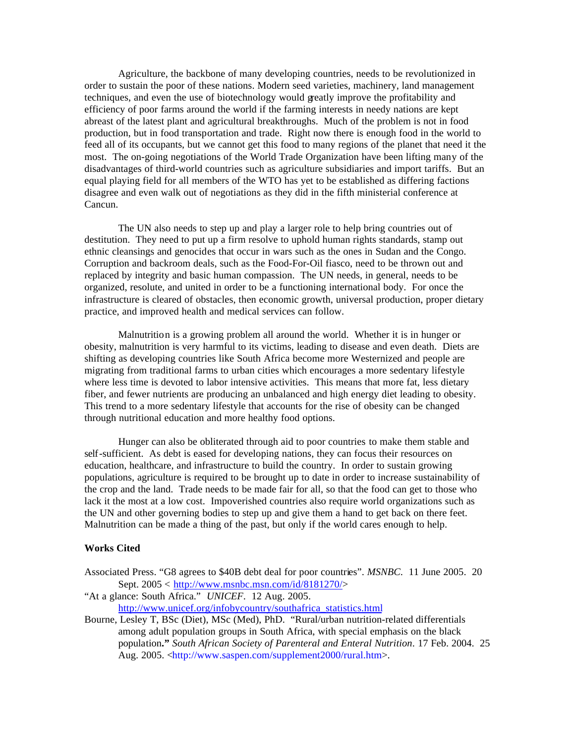Agriculture, the backbone of many developing countries, needs to be revolutionized in order to sustain the poor of these nations. Modern seed varieties, machinery, land management techniques, and even the use of biotechnology would greatly improve the profitability and efficiency of poor farms around the world if the farming interests in needy nations are kept abreast of the latest plant and agricultural breakthroughs. Much of the problem is not in food production, but in food transportation and trade. Right now there is enough food in the world to feed all of its occupants, but we cannot get this food to many regions of the planet that need it the most. The on-going negotiations of the World Trade Organization have been lifting many of the disadvantages of third-world countries such as agriculture subsidiaries and import tariffs. But an equal playing field for all members of the WTO has yet to be established as differing factions disagree and even walk out of negotiations as they did in the fifth ministerial conference at Cancun.

The UN also needs to step up and play a larger role to help bring countries out of destitution. They need to put up a firm resolve to uphold human rights standards, stamp out ethnic cleansings and genocides that occur in wars such as the ones in Sudan and the Congo. Corruption and backroom deals, such as the Food-For-Oil fiasco, need to be thrown out and replaced by integrity and basic human compassion. The UN needs, in general, needs to be organized, resolute, and united in order to be a functioning international body. For once the infrastructure is cleared of obstacles, then economic growth, universal production, proper dietary practice, and improved health and medical services can follow.

Malnutrition is a growing problem all around the world. Whether it is in hunger or obesity, malnutrition is very harmful to its victims, leading to disease and even death. Diets are shifting as developing countries like South Africa become more Westernized and people are migrating from traditional farms to urban cities which encourages a more sedentary lifestyle where less time is devoted to labor intensive activities. This means that more fat, less dietary fiber, and fewer nutrients are producing an unbalanced and high energy diet leading to obesity. This trend to a more sedentary lifestyle that accounts for the rise of obesity can be changed through nutritional education and more healthy food options.

Hunger can also be obliterated through aid to poor countries to make them stable and self-sufficient. As debt is eased for developing nations, they can focus their resources on education, healthcare, and infrastructure to build the country. In order to sustain growing populations, agriculture is required to be brought up to date in order to increase sustainability of the crop and the land. Trade needs to be made fair for all, so that the food can get to those who lack it the most at a low cost. Impoverished countries also require world organizations such as the UN and other governing bodies to step up and give them a hand to get back on there feet. Malnutrition can be made a thing of the past, but only if the world cares enough to help.

## **Works Cited**

Associated Press. "G8 agrees to \$40B debt deal for poor countries". *MSNBC*. 11 June 2005. 20 Sept. 2005 < http://www.msnbc.msn.com/id/8181270/>

"At a glance: South Africa." *UNICEF*. 12 Aug. 2005. http://www.unicef.org/infobycountry/southafrica\_statistics.html

Bourne, Lesley T, BSc (Diet), MSc (Med), PhD. "Rural/urban nutrition-related differentials among adult population groups in South Africa, with special emphasis on the black population**."** *South African Society of Parenteral and Enteral Nutrition*. 17 Feb. 2004. 25 Aug. 2005. <http://www.saspen.com/supplement2000/rural.htm>.